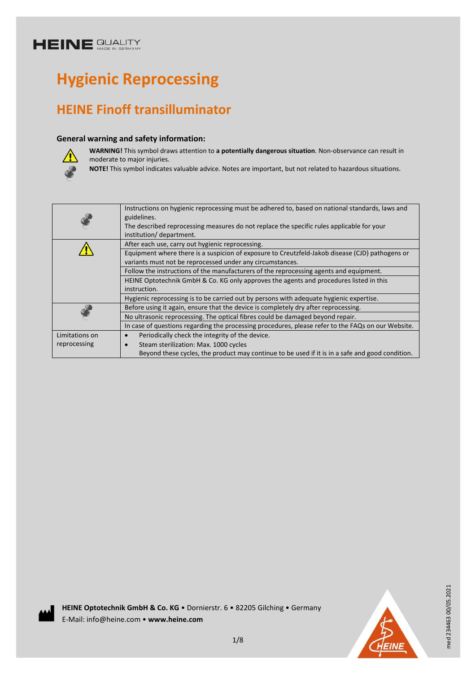# **Hygienic Reprocessing**

## **HEINE Finoff transilluminator**

#### **General warning and safety information:**



**WARNING!** This symbol draws attention to **a potentially dangerous situation**. Non-observance can result in moderate to major injuries.

**NOTE!** This symbol indicates valuable advice. Notes are important, but not related to hazardous situations.

|                | Instructions on hygienic reprocessing must be adhered to, based on national standards, laws and<br>guidelines.<br>The described reprocessing measures do not replace the specific rules applicable for your<br>institution/department. |
|----------------|----------------------------------------------------------------------------------------------------------------------------------------------------------------------------------------------------------------------------------------|
|                | After each use, carry out hygienic reprocessing.                                                                                                                                                                                       |
|                | Equipment where there is a suspicion of exposure to Creutzfeld-Jakob disease (CJD) pathogens or<br>variants must not be reprocessed under any circumstances.                                                                           |
|                | Follow the instructions of the manufacturers of the reprocessing agents and equipment.                                                                                                                                                 |
|                | HEINE Optotechnik GmbH & Co. KG only approves the agents and procedures listed in this                                                                                                                                                 |
|                | instruction.                                                                                                                                                                                                                           |
|                | Hygienic reprocessing is to be carried out by persons with adequate hygienic expertise.                                                                                                                                                |
|                | Before using it again, ensure that the device is completely dry after reprocessing.                                                                                                                                                    |
|                | No ultrasonic reprocessing. The optical fibres could be damaged beyond repair.                                                                                                                                                         |
|                | In case of questions regarding the processing procedures, please refer to the FAQs on our Website.                                                                                                                                     |
| Limitations on | Periodically check the integrity of the device.                                                                                                                                                                                        |
| reprocessing   | Steam sterilization: Max. 1000 cycles                                                                                                                                                                                                  |
|                | Beyond these cycles, the product may continue to be used if it is in a safe and good condition.                                                                                                                                        |



med 234463 00/05.2021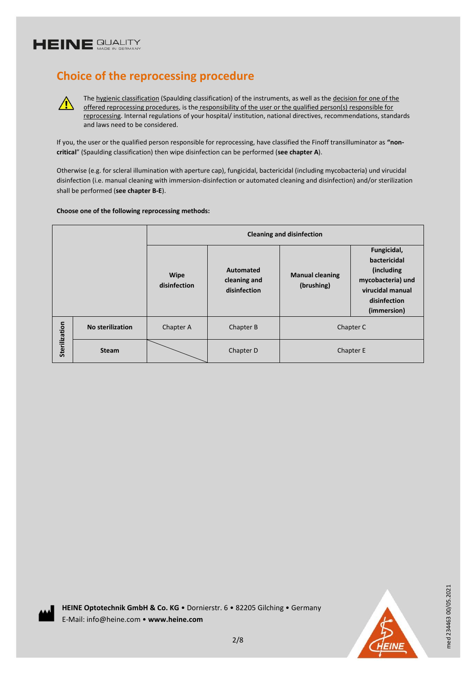$\sqrt{r}$ 

### **Choice of the reprocessing procedure**

The hygienic classification (Spaulding classification) of the instruments, as well as the decision for one of the offered reprocessing procedures, is the responsibility of the user or the qualified person(s) responsible for reprocessing. Internal regulations of your hospital/ institution, national directives, recommendations, standards and laws need to be considered.

If you, the user or the qualified person responsible for reprocessing, have classified the Finoff transilluminator as **"noncritical**" (Spaulding classification) then wipe disinfection can be performed (**see chapter A**).

Otherwise (e.g. for scleral illumination with aperture cap), fungicidal, bactericidal (including mycobacteria) und virucidal disinfection (i.e. manual cleaning with immersion-disinfection or automated cleaning and disinfection) and/or sterilization shall be performed (**see chapter B-E**).

#### **Choose one of the following reprocessing methods:**

|               |                         | <b>Cleaning and disinfection</b> |                                                  |                                      |                                                                                                                   |
|---------------|-------------------------|----------------------------------|--------------------------------------------------|--------------------------------------|-------------------------------------------------------------------------------------------------------------------|
|               |                         | <b>Wipe</b><br>disinfection      | <b>Automated</b><br>cleaning and<br>disinfection | <b>Manual cleaning</b><br>(brushing) | Fungicidal,<br>bactericidal<br>(including<br>mycobacteria) und<br>virucidal manual<br>disinfection<br>(immersion) |
|               | <b>No sterilization</b> | Chapter A                        | Chapter B                                        | Chapter C                            |                                                                                                                   |
| Sterilization | <b>Steam</b>            |                                  | Chapter D                                        | Chapter E                            |                                                                                                                   |





med 234463 00/05.2021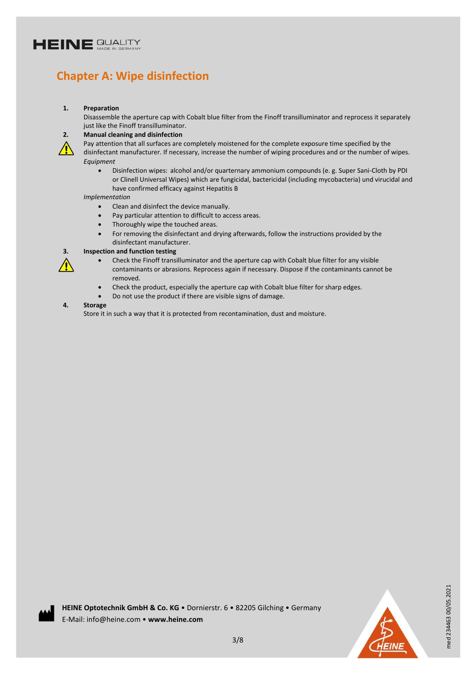### **Chapter A: Wipe disinfection**

#### **1. Preparation**

Disassemble the aperture cap with Cobalt blue filter from the Finoff transilluminator and reprocess it separately just like the Finoff transilluminator.

#### **2. Manual cleaning and disinfection**

Pay attention that all surfaces are completely moistened for the complete exposure time specified by the

disinfectant manufacturer. If necessary, increase the number of wiping procedures and or the number of wipes. *Equipment*

 Disinfection wipes: alcohol and/or quarternary ammonium compounds (e. g. Super Sani-Cloth by PDI or Clinell Universal Wipes) which are fungicidal, bactericidal (including mycobacteria) und virucidal and have confirmed efficacy against Hepatitis B

#### *Implementation*

- Clean and disinfect the device manually.
- Pay particular attention to difficult to access areas.
- Thoroughly wipe the touched areas.
- For removing the disinfectant and drying afterwards, follow the instructions provided by the disinfectant manufacturer.

#### **3. Inspection and function testing**

- $\sqrt{N}$
- Check the Finoff transilluminator and the aperture cap with Cobalt blue filter for any visible contaminants or abrasions. Reprocess again if necessary. Dispose if the contaminants cannot be removed.
- Check the product, especially the aperture cap with Cobalt blue filter for sharp edges.
- Do not use the product if there are visible signs of damage.

#### **4. Storage**

Store it in such a way that it is protected from recontamination, dust and moisture.





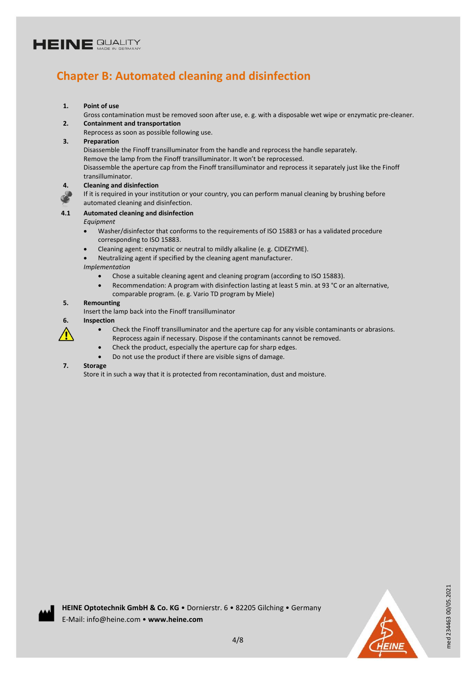### **Chapter B: Automated cleaning and disinfection**

#### **1. Point of use**

Gross contamination must be removed soon after use, e. g. with a disposable wet wipe or enzymatic pre-cleaner. **2. Containment and transportation**

Reprocess as soon as possible following use.

#### **3. Preparation**

Disassemble the Finoff transilluminator from the handle and reprocess the handle separately.

Remove the lamp from the Finoff transilluminator. It won't be reprocessed.

Disassemble the aperture cap from the Finoff transilluminator and reprocess it separately just like the Finoff transilluminator.

**4. Cleaning and disinfection** 

If it is required in your institution or your country, you can perform manual cleaning by brushing before automated cleaning and disinfection.

#### **4.1 Automated cleaning and disinfection**

#### *Equipment*

- Washer/disinfector that conforms to the requirements of ISO 15883 or has a validated procedure corresponding to ISO 15883.
- Cleaning agent: enzymatic or neutral to mildly alkaline (e. g. CIDEZYME).
- Neutralizing agent if specified by the cleaning agent manufacturer.

#### *Implementation*

- Chose a suitable cleaning agent and cleaning program (according to ISO 15883).
- Recommendation: A program with disinfection lasting at least 5 min. at 93 °C or an alternative, comparable program. (e. g. Vario TD program by Miele)

#### **5. Remounting**

Insert the lamp back into the Finoff transilluminator

#### **6. Inspection**

- ⁄ I
- Check the Finoff transilluminator and the aperture cap for any visible contaminants or abrasions. Reprocess again if necessary. Dispose if the contaminants cannot be removed.
- Check the product, especially the aperture cap for sharp edges.
- Do not use the product if there are visible signs of damage.

#### **7. Storage**

Store it in such a way that it is protected from recontamination, dust and moisture.



med 234463 00/05.2021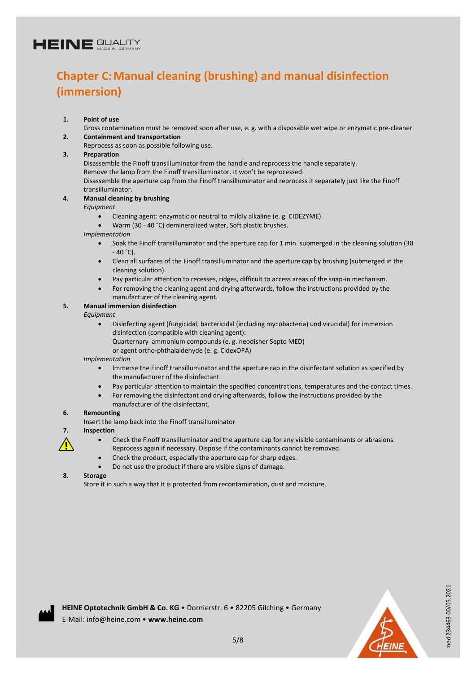### **Chapter C:Manual cleaning (brushing) and manual disinfection (immersion)**

#### **1. Point of use**

Gross contamination must be removed soon after use, e. g. with a disposable wet wipe or enzymatic pre-cleaner. **2. Containment and transportation**

Reprocess as soon as possible following use.

#### **3. Preparation**

Disassemble the Finoff transilluminator from the handle and reprocess the handle separately.

Remove the lamp from the Finoff transilluminator. It won't be reprocessed.

Disassemble the aperture cap from the Finoff transilluminator and reprocess it separately just like the Finoff transilluminator.

#### **4. Manual cleaning by brushing**

#### *Equipment*

- Cleaning agent: enzymatic or neutral to mildly alkaline (e. g. CIDEZYME).
- Warm (30 40 °C) demineralized water, Soft plastic brushes.

*Implementation*

- Soak the Finoff transilluminator and the aperture cap for 1 min. submerged in the cleaning solution (30 - 40 °C).
- Clean all surfaces of the Finoff transilluminator and the aperture cap by brushing (submerged in the cleaning solution).
- Pay particular attention to recesses, ridges, difficult to access areas of the snap-in mechanism.
- For removing the cleaning agent and drying afterwards, follow the instructions provided by the manufacturer of the cleaning agent.

#### **5. Manual immersion disinfection**

#### *Equipment*

- Disinfecting agent (fungicidal, bactericidal (including mycobacteria) und virucidal) for immersion disinfection (compatible with cleaning agent): Quarternary ammonium compounds (e. g. neodisher Septo MED)
	- or agent ortho-phthalaldehyde (e. g. CidexOPA)

*Implementation*

- Immerse the Finoff transilluminator and the aperture cap in the disinfectant solution as specified by the manufacturer of the disinfectant.
- Pay particular attention to maintain the specified concentrations, temperatures and the contact times.
- For removing the disinfectant and drying afterwards, follow the instructions provided by the manufacturer of the disinfectant.

#### **6. Remounting**

Insert the lamp back into the Finoff transilluminator

#### **7. Inspection**

∕≬`

- Check the Finoff transilluminator and the aperture cap for any visible contaminants or abrasions. Reprocess again if necessary. Dispose if the contaminants cannot be removed.
- Check the product, especially the aperture cap for sharp edges.
- Do not use the product if there are visible signs of damage.

#### **8. Storage**

Store it in such a way that it is protected from recontamination, dust and moisture.



med 234463 00/05.2021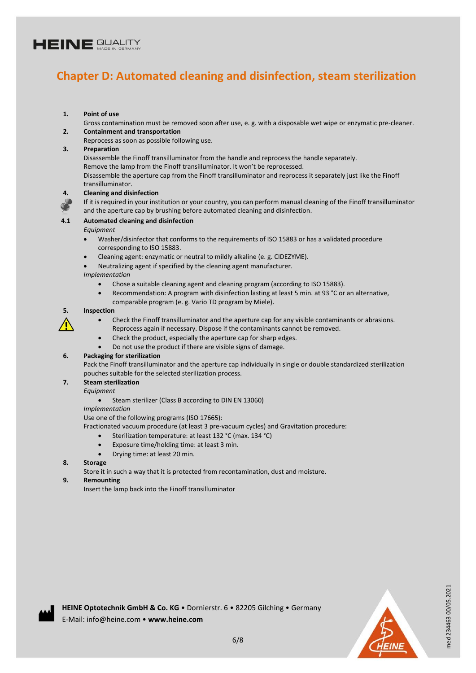### **Chapter D: Automated cleaning and disinfection, steam sterilization**

#### **1. Point of use**

Gross contamination must be removed soon after use, e. g. with a disposable wet wipe or enzymatic pre-cleaner. **2. Containment and transportation**

#### Reprocess as soon as possible following use.

#### **3. Preparation**

Disassemble the Finoff transilluminator from the handle and reprocess the handle separately.

Remove the lamp from the Finoff transilluminator. It won't be reprocessed.

Disassemble the aperture cap from the Finoff transilluminator and reprocess it separately just like the Finoff transilluminator.



#### **4. Cleaning and disinfection**

If it is required in your institution or your country, you can perform manual cleaning of the Finoff transilluminator and the aperture cap by brushing before automated cleaning and disinfection.

#### **4.1 Automated cleaning and disinfection**

#### *Equipment*

- Washer/disinfector that conforms to the requirements of ISO 15883 or has a validated procedure corresponding to ISO 15883.
- Cleaning agent: enzymatic or neutral to mildly alkaline (e. g. CIDEZYME).
- Neutralizing agent if specified by the cleaning agent manufacturer.

#### *Implementation*

- Chose a suitable cleaning agent and cleaning program (according to ISO 15883).
- Recommendation: A program with disinfection lasting at least 5 min. at 93 °C or an alternative, comparable program (e. g. Vario TD program by Miele).

#### **5. Inspection**



- Check the Finoff transilluminator and the aperture cap for any visible contaminants or abrasions. Reprocess again if necessary. Dispose if the contaminants cannot be removed.
- Check the product, especially the aperture cap for sharp edges.
- Do not use the product if there are visible signs of damage.

#### **6. Packaging for sterilization**

Pack the Finoff transilluminator and the aperture cap individually in single or double standardized sterilization pouches suitable for the selected sterilization process.

#### **7. Steam sterilization**

#### *Equipment*

Steam sterilizer (Class B according to DIN EN 13060)

*Implementation*

Use one of the following programs (ISO 17665):

Fractionated vacuum procedure (at least 3 pre-vacuum cycles) and Gravitation procedure:

- Sterilization temperature: at least 132 °C (max. 134 °C)
- Exposure time/holding time: at least 3 min.
- Drying time: at least 20 min.

#### **8. Storage**

Store it in such a way that it is protected from recontamination, dust and moisture.

#### **9. Remounting**

Insert the lamp back into the Finoff transilluminator



med 234463 00/05.2021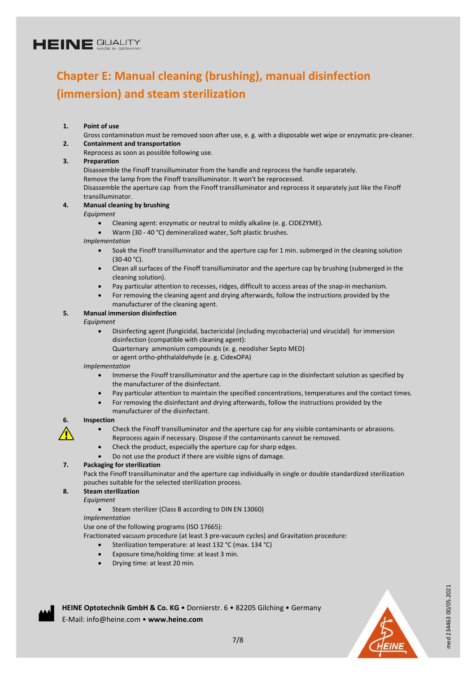## **Chapter E: Manual cleaning (brushing), manual disinfection (immersion) and steam sterilization**

#### **1. Point of use**

- Gross contamination must be removed soon after use, e. g. with a disposable wet wipe or enzymatic pre-cleaner. **2. Containment and transportation**
- Reprocess as soon as possible following use.

#### **3. Preparation**

Disassemble the Finoff transilluminator from the handle and reprocess the handle separately.

Remove the lamp from the Finoff transilluminator. It won't be reprocessed.

Disassemble the aperture cap from the Finoff transilluminator and reprocess it separately just like the Finoff transilluminator.

#### **4. Manual cleaning by brushing**

*Equipment*

- Cleaning agent: enzymatic or neutral to mildly alkaline (e. g. CIDEZYME).
- Warm (30 40 °C) demineralized water, Soft plastic brushes.

*Implementation*

- Soak the Finoff transilluminator and the aperture cap for 1 min. submerged in the cleaning solution (30-40 °C).
- Clean all surfaces of the Finoff transilluminator and the aperture cap by brushing (submerged in the cleaning solution).
- Pay particular attention to recesses, ridges, difficult to access areas of the snap-in mechanism.
- For removing the cleaning agent and drying afterwards, follow the instructions provided by the manufacturer of the cleaning agent.

#### **5. Manual immersion disinfection**

*Equipment*

- Disinfecting agent (fungicidal, bactericidal (including mycobacteria) und virucidal) for immersion disinfection (compatible with cleaning agent):
	- Quarternary ammonium compounds (e. g. neodisher Septo MED)
	- or agent ortho-phthalaldehyde (e. g. CidexOPA)

*Implementation*

- Immerse the Finoff transilluminator and the aperture cap in the disinfectant solution as specified by the manufacturer of the disinfectant.
- Pay particular attention to maintain the specified concentrations, temperatures and the contact times.
- For removing the disinfectant and drying afterwards, follow the instructions provided by the manufacturer of the disinfectant.

#### **6. Inspection**

- Check the Finoff transilluminator and the aperture cap for any visible contaminants or abrasions.
- Reprocess again if necessary. Dispose if the contaminants cannot be removed.
- Check the product, especially the aperture cap for sharp edges.
- Do not use the product if there are visible signs of damage.

#### **7. Packaging for sterilization**

Pack the Finoff transilluminator and the aperture cap individually in single or double standardized sterilization pouches suitable for the selected sterilization process.

#### **8. Steam sterilization**

- *Equipment*
	- Steam sterilizer (Class B according to DIN EN 13060)

#### *Implementation*

Use one of the following programs (ISO 17665):

Fractionated vacuum procedure (at least 3 pre-vacuum cycles) and Gravitation procedure:

- Sterilization temperature: at least 132 °C (max. 134 °C)
- Exposure time/holding time: at least 3 min.
- Drying time: at least 20 min.



**HEINE Optotechnik GmbH & Co. KG** • Dornierstr. 6 • 82205 Gilching • Germany E-Mail: info@heine.com • **www.heine.com**



med 234463 00/05.2021